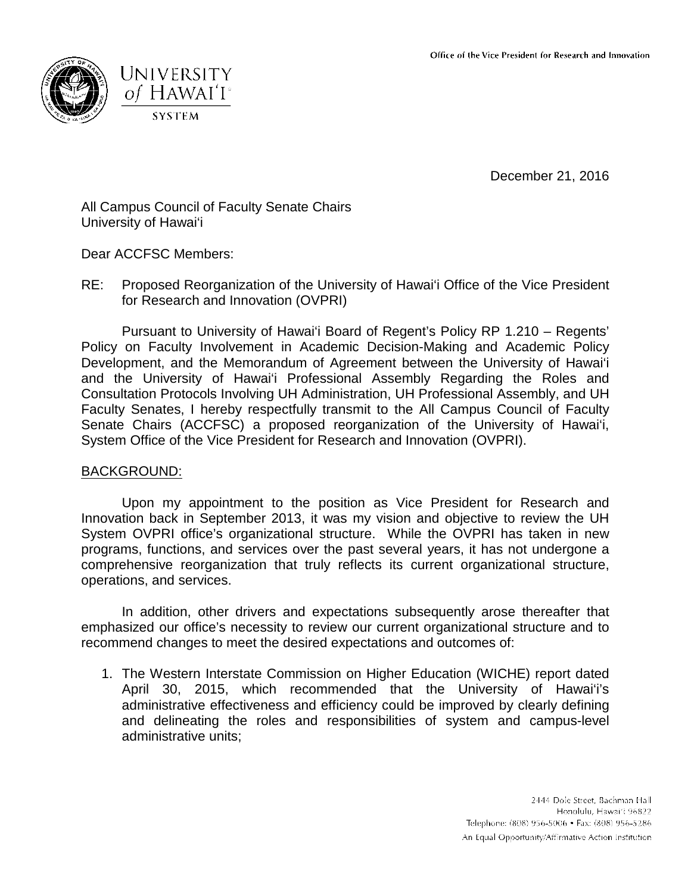



December 21, 2016

All Campus Council of Faculty Senate Chairs University of Hawai'i

Dear ACCFSC Members:

RE: Proposed Reorganization of the University of Hawai'i Office of the Vice President for Research and Innovation (OVPRI)

Pursuant to University of Hawai'i Board of Regent's Policy RP 1.210 – Regents' Policy on Faculty Involvement in Academic Decision-Making and Academic Policy Development, and the Memorandum of Agreement between the University of Hawai'i and the University of Hawai'i Professional Assembly Regarding the Roles and Consultation Protocols Involving UH Administration, UH Professional Assembly, and UH Faculty Senates, I hereby respectfully transmit to the All Campus Council of Faculty Senate Chairs (ACCFSC) a proposed reorganization of the University of Hawai'i, System Office of the Vice President for Research and Innovation (OVPRI).

## BACKGROUND:

Upon my appointment to the position as Vice President for Research and Innovation back in September 2013, it was my vision and objective to review the UH System OVPRI office's organizational structure. While the OVPRI has taken in new programs, functions, and services over the past several years, it has not undergone a comprehensive reorganization that truly reflects its current organizational structure, operations, and services.

In addition, other drivers and expectations subsequently arose thereafter that emphasized our office's necessity to review our current organizational structure and to recommend changes to meet the desired expectations and outcomes of:

1. The Western Interstate Commission on Higher Education (WICHE) report dated April 30, 2015, which recommended that the University of Hawai'i's administrative effectiveness and efficiency could be improved by clearly defining and delineating the roles and responsibilities of system and campus-level administrative units;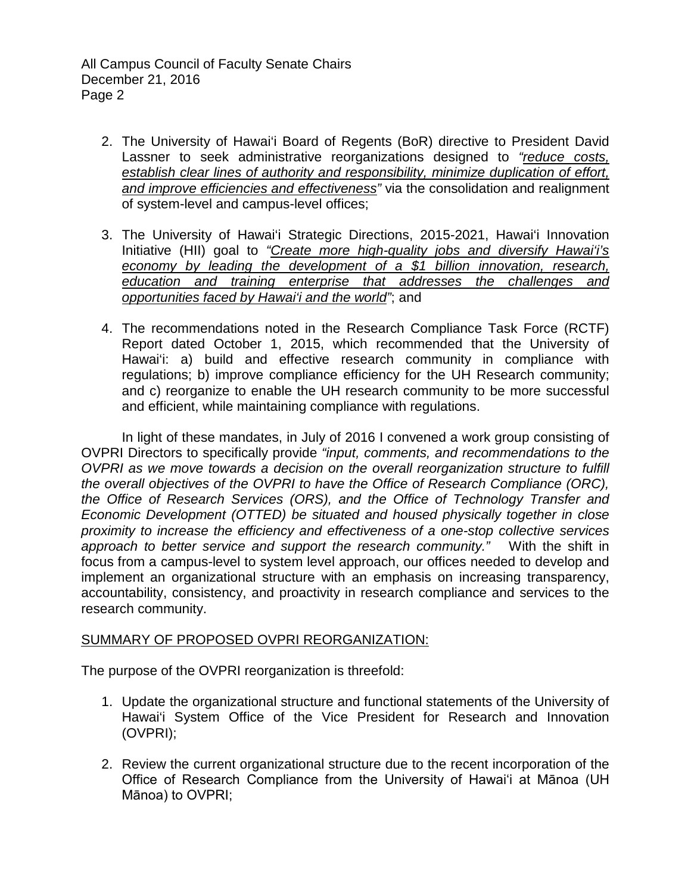All Campus Council of Faculty Senate Chairs December 21, 2016 Page 2

- 2. The University of Hawai'i Board of Regents (BoR) directive to President David Lassner to seek administrative reorganizations designed to *"reduce costs, establish clear lines of authority and responsibility, minimize duplication of effort, and improve efficiencies and effectiveness"* via the consolidation and realignment of system-level and campus-level offices;
- 3. The University of Hawai'i Strategic Directions, 2015-2021, Hawai'i Innovation Initiative (HII) goal to *"Create more high-quality jobs and diversify Hawai'i's economy by leading the development of a \$1 billion innovation, research, education and training enterprise that addresses the challenges and opportunities faced by Hawai'i and the world"*; and
- 4. The recommendations noted in the Research Compliance Task Force (RCTF) Report dated October 1, 2015, which recommended that the University of Hawai'i: a) build and effective research community in compliance with regulations; b) improve compliance efficiency for the UH Research community; and c) reorganize to enable the UH research community to be more successful and efficient, while maintaining compliance with regulations.

In light of these mandates, in July of 2016 I convened a work group consisting of OVPRI Directors to specifically provide *"input, comments, and recommendations to the OVPRI as we move towards a decision on the overall reorganization structure to fulfill the overall objectives of the OVPRI to have the Office of Research Compliance (ORC), the Office of Research Services (ORS), and the Office of Technology Transfer and Economic Development (OTTED) be situated and housed physically together in close proximity to increase the efficiency and effectiveness of a one-stop collective services approach to better service and support the research community."* With the shift in focus from a campus-level to system level approach, our offices needed to develop and implement an organizational structure with an emphasis on increasing transparency, accountability, consistency, and proactivity in research compliance and services to the research community.

## SUMMARY OF PROPOSED OVPRI REORGANIZATION:

The purpose of the OVPRI reorganization is threefold:

- 1. Update the organizational structure and functional statements of the University of Hawai'i System Office of the Vice President for Research and Innovation (OVPRI);
- 2. Review the current organizational structure due to the recent incorporation of the Office of Research Compliance from the University of Hawai'i at Mānoa (UH Mānoa) to OVPRI;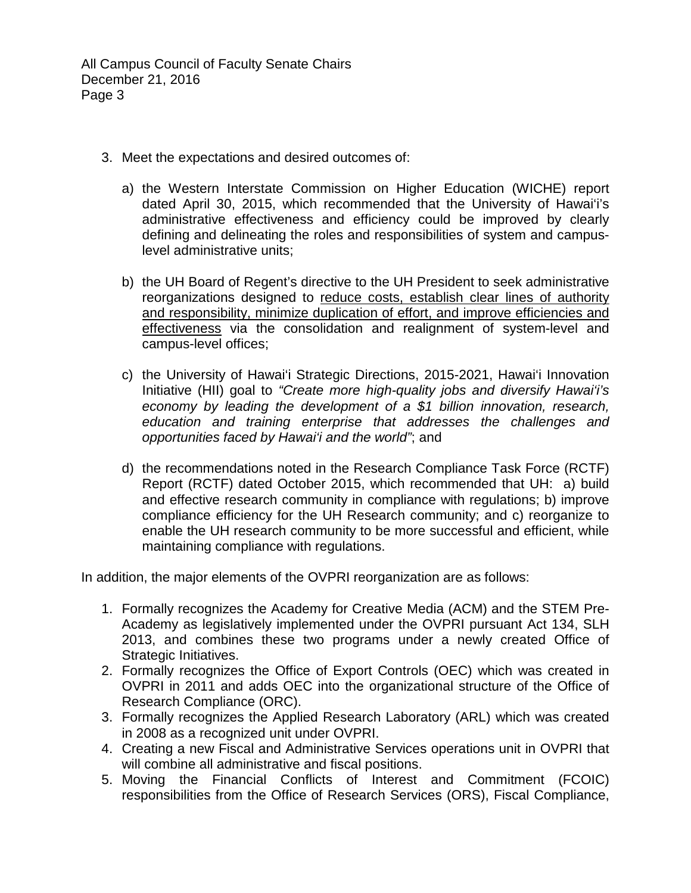All Campus Council of Faculty Senate Chairs December 21, 2016 Page 3

- 3. Meet the expectations and desired outcomes of:
	- a) the Western Interstate Commission on Higher Education (WICHE) report dated April 30, 2015, which recommended that the University of Hawai'i's administrative effectiveness and efficiency could be improved by clearly defining and delineating the roles and responsibilities of system and campuslevel administrative units;
	- b) the UH Board of Regent's directive to the UH President to seek administrative reorganizations designed to reduce costs, establish clear lines of authority and responsibility, minimize duplication of effort, and improve efficiencies and effectiveness via the consolidation and realignment of system-level and campus-level offices;
	- c) the University of Hawai'i Strategic Directions, 2015-2021, Hawai'i Innovation Initiative (HII) goal to *"Create more high-quality jobs and diversify Hawai'i's economy by leading the development of a \$1 billion innovation, research, education and training enterprise that addresses the challenges and opportunities faced by Hawai'i and the world"*; and
	- d) the recommendations noted in the Research Compliance Task Force (RCTF) Report (RCTF) dated October 2015, which recommended that UH: a) build and effective research community in compliance with regulations; b) improve compliance efficiency for the UH Research community; and c) reorganize to enable the UH research community to be more successful and efficient, while maintaining compliance with regulations.

In addition, the major elements of the OVPRI reorganization are as follows:

- 1. Formally recognizes the Academy for Creative Media (ACM) and the STEM Pre-Academy as legislatively implemented under the OVPRI pursuant Act 134, SLH 2013, and combines these two programs under a newly created Office of Strategic Initiatives.
- 2. Formally recognizes the Office of Export Controls (OEC) which was created in OVPRI in 2011 and adds OEC into the organizational structure of the Office of Research Compliance (ORC).
- 3. Formally recognizes the Applied Research Laboratory (ARL) which was created in 2008 as a recognized unit under OVPRI.
- 4. Creating a new Fiscal and Administrative Services operations unit in OVPRI that will combine all administrative and fiscal positions.
- 5. Moving the Financial Conflicts of Interest and Commitment (FCOIC) responsibilities from the Office of Research Services (ORS), Fiscal Compliance,